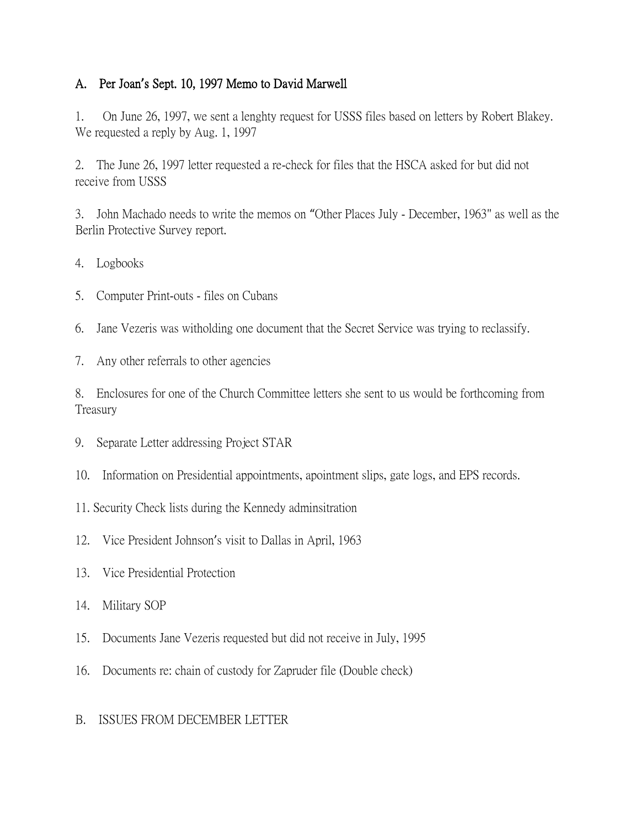## A. Per Joan**'**s Sept. 10, 1997 Memo to David Marwell

1. On June 26, 1997, we sent a lenghty request for USSS files based on letters by Robert Blakey. We requested a reply by Aug. 1, 1997

2. The June 26, 1997 letter requested a re-check for files that the HSCA asked for but did not receive from USSS

3. John Machado needs to write the memos on "Other Places July - December, 1963" as well as the Berlin Protective Survey report.

- 4. Logbooks
- 5. Computer Print-outs files on Cubans
- 6. Jane Vezeris was witholding one document that the Secret Service was trying to reclassify.
- 7. Any other referrals to other agencies

8. Enclosures for one of the Church Committee letters she sent to us would be forthcoming from Treasury

- 9. Separate Letter addressing Project STAR
- 10. Information on Presidential appointments, apointment slips, gate logs, and EPS records.
- 11. Security Check lists during the Kennedy adminsitration
- 12. Vice President Johnson's visit to Dallas in April, 1963
- 13. Vice Presidential Protection
- 14. Military SOP
- 15. Documents Jane Vezeris requested but did not receive in July, 1995
- 16. Documents re: chain of custody for Zapruder file (Double check)

## B. ISSUES FROM DECEMBER LETTER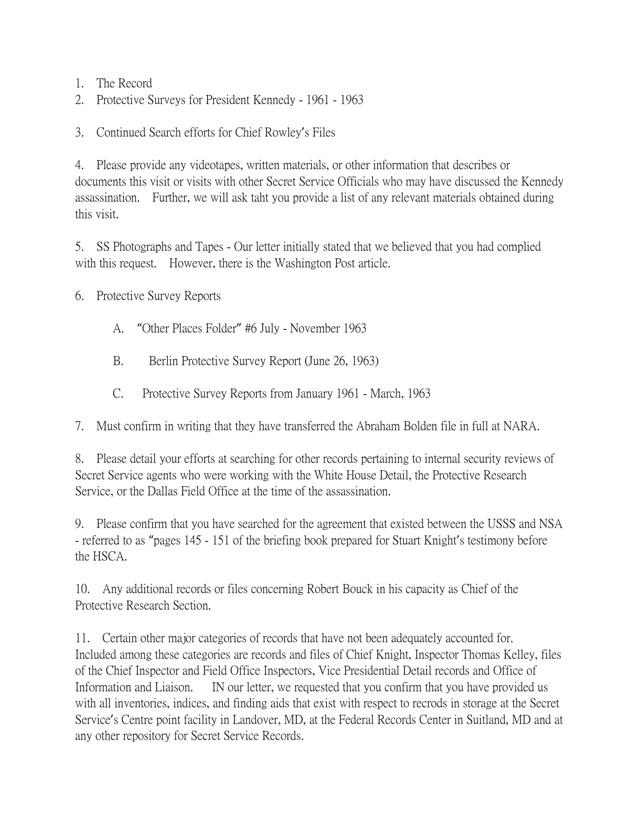- 1. The Record
- 2. Protective Surveys for President Kennedy 1961 1963

3. Continued Search efforts for Chief Rowley's Files

4. Please provide any videotapes, written materials, or other information that describes or documents this visit or visits with other Secret Service Officials who may have discussed the Kennedy assassination. Further, we will ask taht you provide a list of any relevant materials obtained during this visit.

5. SS Photographs and Tapes - Our letter initially stated that we believed that you had complied with this request. However, there is the Washington Post article.

6. Protective Survey Reports

- A. "Other Places Folder" #6 July November 1963
- B. Berlin Protective Survey Report (June 26, 1963)
- C. Protective Survey Reports from January 1961 March, 1963

7. Must confirm in writing that they have transferred the Abraham Bolden file in full at NARA.

8. Please detail your efforts at searching for other records pertaining to internal security reviews of Secret Service agents who were working with the White House Detail, the Protective Research Service, or the Dallas Field Office at the time of the assassination.

9. Please confirm that you have searched for the agreement that existed between the USSS and NSA - referred to as "pages 145 - 151 of the briefing book prepared for Stuart Knight's testimony before the HSCA.

10. Any additional records or files concerning Robert Bouck in his capacity as Chief of the Protective Research Section.

11. Certain other major categories of records that have not been adequately accounted for. Included among these categories are records and files of Chief Knight, Inspector Thomas Kelley, files of the Chief Inspector and Field Office Inspectors, Vice Presidential Detail records and Office of Information and Liaison. IN our letter, we requested that you confirm that you have provided us with all inventories, indices, and finding aids that exist with respect to recrods in storage at the Secret Service's Centre point facility in Landover, MD, at the Federal Records Center in Suitland, MD and at any other repository for Secret Service Records.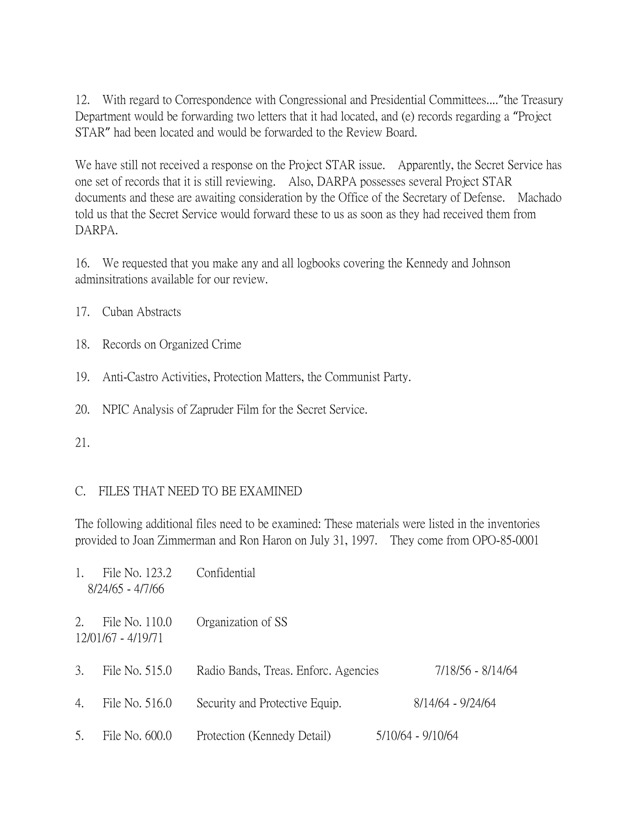12. With regard to Correspondence with Congressional and Presidential Committees...."the Treasury Department would be forwarding two letters that it had located, and (e) records regarding a "Project STAR" had been located and would be forwarded to the Review Board.

We have still not received a response on the Project STAR issue. Apparently, the Secret Service has one set of records that it is still reviewing. Also, DARPA possesses several Project STAR documents and these are awaiting consideration by the Office of the Secretary of Defense. Machado told us that the Secret Service would forward these to us as soon as they had received them from DARPA.

16. We requested that you make any and all logbooks covering the Kennedy and Johnson adminsitrations available for our review.

- 17. Cuban Abstracts
- 18. Records on Organized Crime
- 19. Anti-Castro Activities, Protection Matters, the Communist Party.
- 20. NPIC Analysis of Zapruder Film for the Secret Service.
- 21.

## C. FILES THAT NEED TO BE EXAMINED

The following additional files need to be examined: These materials were listed in the inventories provided to Joan Zimmerman and Ron Haron on July 31, 1997. They come from OPO-85-0001

| 1. | File No. 123.2<br>8/24/65 - 4/7/66   | Confidential                         |                   |
|----|--------------------------------------|--------------------------------------|-------------------|
| 2. | File No. 110.0<br>12/01/67 - 4/19/71 | Organization of SS                   |                   |
| 3. | File No. 515.0                       | Radio Bands, Treas. Enforc. Agencies | 7/18/56 - 8/14/64 |
| 4. | File No. 516.0                       | Security and Protective Equip.       | 8/14/64 - 9/24/64 |
| 5. | File No. 600.0                       | Protection (Kennedy Detail)          | 5/10/64 - 9/10/64 |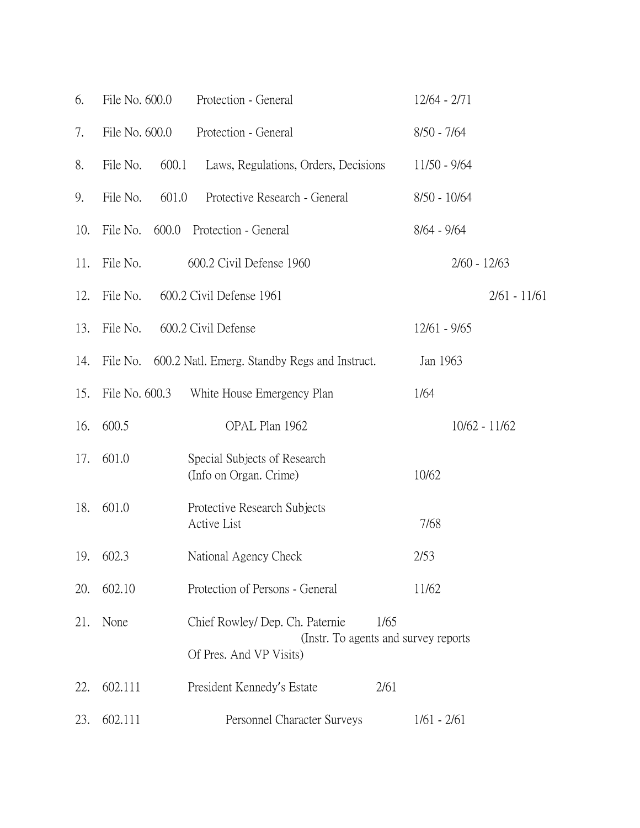| 6.  | File No. 600.0    | Protection - General                                                                                        | $12/64 - 2/71$ |
|-----|-------------------|-------------------------------------------------------------------------------------------------------------|----------------|
| 7.  | File No. 600.0    | Protection - General                                                                                        | $8/50 - 7/64$  |
| 8.  | File No.<br>600.1 | Laws, Regulations, Orders, Decisions                                                                        | 11/50 - 9/64   |
| 9.  | File No.<br>601.0 | Protective Research - General                                                                               | $8/50 - 10/64$ |
| 10. | File No.<br>600.0 | Protection - General                                                                                        | $8/64 - 9/64$  |
| 11. | File No.          | 600.2 Civil Defense 1960                                                                                    | $2/60 - 12/63$ |
| 12. | File No.          | 600.2 Civil Defense 1961                                                                                    | $2/61 - 11/61$ |
| 13. | File No.          | 600.2 Civil Defense                                                                                         | $12/61 - 9/65$ |
| 14. | File No.          | 600.2 Natl. Emerg. Standby Regs and Instruct.                                                               | Jan 1963       |
| 15. | File No. 600.3    | White House Emergency Plan                                                                                  | 1/64           |
| 16. | 600.5             | OPAL Plan 1962                                                                                              | 10/62 - 11/62  |
| 17. | 601.0             | Special Subjects of Research<br>(Info on Organ. Crime)                                                      | 10/62          |
| 18. | 601.0             | Protective Research Subjects<br>Active List                                                                 | 7/68           |
|     | 19. 602.3         | National Agency Check                                                                                       | 2/53           |
| 20. | 602.10            | Protection of Persons - General                                                                             | 11/62          |
| 21. | None              | Chief Rowley/ Dep. Ch. Paternie<br>1/65<br>(Instr. To agents and survey reports)<br>Of Pres. And VP Visits) |                |
| 22. | 602.111           | 2/61<br>President Kennedy's Estate                                                                          |                |
| 23. | 602.111           | Personnel Character Surveys                                                                                 | $1/61 - 2/61$  |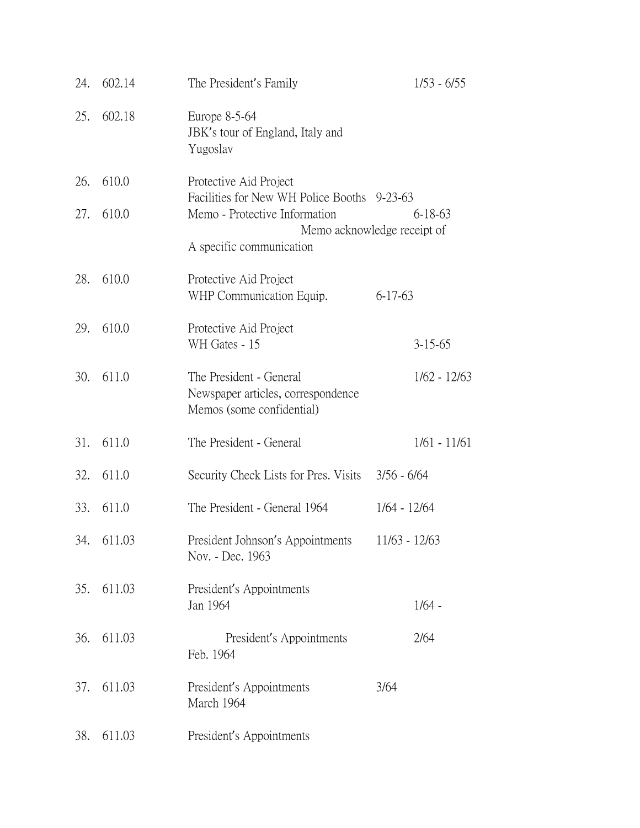| 24. | 602.14     | The President's Family                                                                     | $1/53 - 6/55$                          |
|-----|------------|--------------------------------------------------------------------------------------------|----------------------------------------|
|     | 25. 602.18 | Europe 8-5-64<br>JBK's tour of England, Italy and<br>Yugoslav                              |                                        |
| 26. | 610.0      | Protective Aid Project                                                                     |                                        |
| 27. | 610.0      | Facilities for New WH Police Booths 9-23-63<br>Memo - Protective Information               | 6-18-63<br>Memo acknowledge receipt of |
|     |            | A specific communication                                                                   |                                        |
| 28. | 610.0      | Protective Aid Project<br>WHP Communication Equip.                                         | $6 - 17 - 63$                          |
| 29. | 610.0      | Protective Aid Project<br>WH Gates - 15                                                    | $3 - 15 - 65$                          |
| 30. | 611.0      | The President - General<br>Newspaper articles, correspondence<br>Memos (some confidential) | $1/62 - 12/63$                         |
| 31. | 611.0      | The President - General                                                                    | $1/61 - 11/61$                         |
| 32. | 611.0      | Security Check Lists for Pres. Visits 3/56 - 6/64                                          |                                        |
| 33. | 611.0      | The President - General 1964                                                               | $1/64 - 12/64$                         |
|     | 34. 611.03 | President Johnson's Appointments<br>Nov. - Dec. 1963                                       | 11/63 - 12/63                          |
| 35. | 611.03     | President's Appointments<br>Jan 1964                                                       | $1/64 -$                               |
| 36. | 611.03     | President's Appointments<br>Feb. 1964                                                      | 2/64                                   |
| 37. | 611.03     | President's Appointments<br>March 1964                                                     | 3/64                                   |
| 38. | 611.03     | President's Appointments                                                                   |                                        |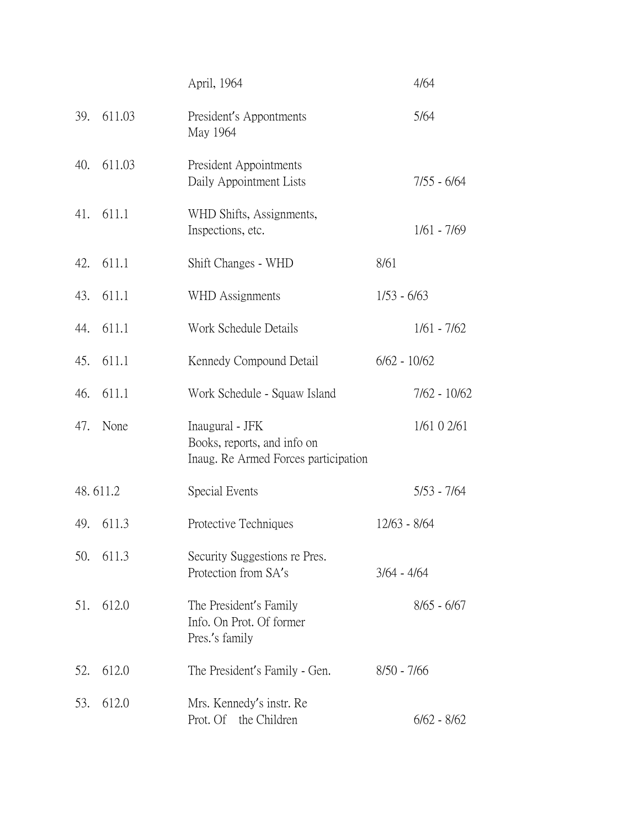|          |        | April, 1964                                                                            | 4/64           |
|----------|--------|----------------------------------------------------------------------------------------|----------------|
| 39.      | 611.03 | President's Appontments<br>May 1964                                                    | 5/64           |
| 40.      | 611.03 | President Appointments<br>Daily Appointment Lists                                      | $7/55 - 6/64$  |
| 41.      | 611.1  | WHD Shifts, Assignments,<br>Inspections, etc.                                          | $1/61 - 7/69$  |
| 42.      | 611.1  | Shift Changes - WHD                                                                    | 8/61           |
| 43.      | 611.1  | WHD Assignments                                                                        | $1/53 - 6/63$  |
| 44.      | 611.1  | Work Schedule Details                                                                  | $1/61 - 7/62$  |
| 45.      | 611.1  | Kennedy Compound Detail                                                                | $6/62 - 10/62$ |
| 46.      | 611.1  | Work Schedule - Squaw Island                                                           | 7/62 - 10/62   |
| 47.      | None   | Inaugural - JFK<br>Books, reports, and info on<br>Inaug. Re Armed Forces participation | 1/61 0 2/61    |
| 48.611.2 |        | Special Events                                                                         | $5/53 - 7/64$  |
| 49.      | 611.3  | Protective Techniques                                                                  | $12/63 - 8/64$ |
| 50.      | 611.3  | Security Suggestions re Pres.<br>Protection from SA's                                  | $3/64 - 4/64$  |
| 51.      | 612.0  | The President's Family<br>Info. On Prot. Of former<br>Pres.'s family                   | $8/65 - 6/67$  |
| 52.      | 612.0  | The President's Family - Gen.                                                          | $8/50 - 7/66$  |
| 53.      | 612.0  | Mrs. Kennedy's instr. Re<br>Prot. Of the Children                                      | $6/62 - 8/62$  |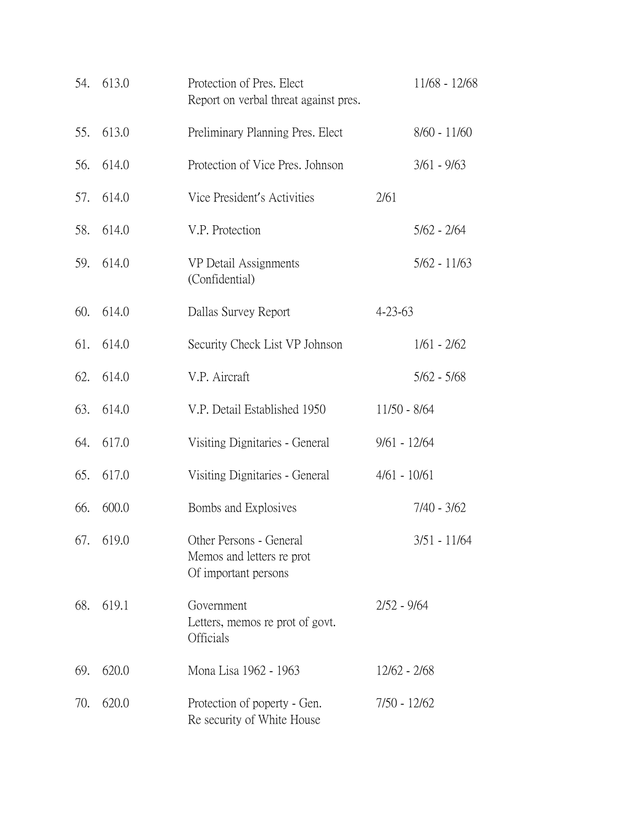|     | 54. 613.0 | Protection of Pres. Elect<br>Report on verbal threat against pres.           |                | 11/68 - 12/68  |
|-----|-----------|------------------------------------------------------------------------------|----------------|----------------|
| 55. | 613.0     | Preliminary Planning Pres. Elect                                             |                | $8/60 - 11/60$ |
| 56. | 614.0     | Protection of Vice Pres. Johnson                                             |                | $3/61 - 9/63$  |
| 57. | 614.0     | Vice President's Activities                                                  | 2/61           |                |
| 58. | 614.0     | V.P. Protection                                                              |                | $5/62 - 2/64$  |
| 59. | 614.0     | VP Detail Assignments<br>(Confidential)                                      |                | $5/62 - 11/63$ |
| 60. | 614.0     | Dallas Survey Report                                                         | $4 - 23 - 63$  |                |
| 61. | 614.0     | Security Check List VP Johnson                                               |                | $1/61 - 2/62$  |
| 62. | 614.0     | V.P. Aircraft                                                                |                | $5/62 - 5/68$  |
| 63. | 614.0     | V.P. Detail Established 1950                                                 | $11/50 - 8/64$ |                |
| 64. | 617.0     | Visiting Dignitaries - General                                               | $9/61 - 12/64$ |                |
| 65. | 617.0     | Visiting Dignitaries - General                                               | $4/61 - 10/61$ |                |
| 66. | 600.0     | Bombs and Explosives                                                         |                | $7/40 - 3/62$  |
|     | 67. 619.0 | Other Persons - General<br>Memos and letters re prot<br>Of important persons |                | 3/51 - 11/64   |
| 68. | 619.1     | Government<br>Letters, memos re prot of govt.<br>Officials                   | $2/52 - 9/64$  |                |
| 69. | 620.0     | Mona Lisa 1962 - 1963                                                        | $12/62 - 2/68$ |                |
| 70. | 620.0     | Protection of poperty - Gen.<br>Re security of White House                   | $7/50 - 12/62$ |                |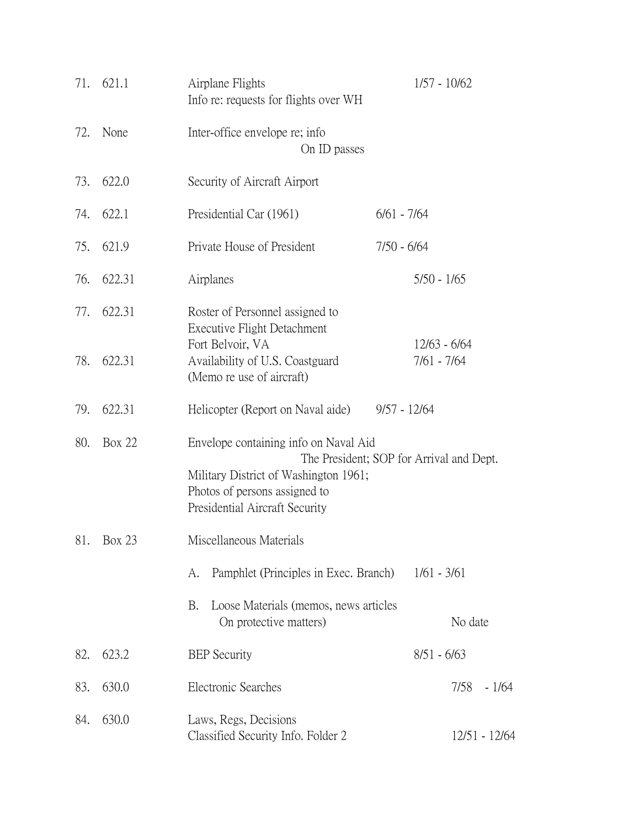| 71. | 621.1         | Airplane Flights<br>Info re: requests for flights over WH                                                                                         | $1/57 - 10/62$                           |
|-----|---------------|---------------------------------------------------------------------------------------------------------------------------------------------------|------------------------------------------|
| 72. | None          | Inter-office envelope re; info<br>On ID passes                                                                                                    |                                          |
| 73. | 622.0         | Security of Aircraft Airport                                                                                                                      |                                          |
| 74. | 622.1         | Presidential Car (1961)                                                                                                                           | $6/61 - 7/64$                            |
| 75. | 621.9         | Private House of President                                                                                                                        | $7/50 - 6/64$                            |
| 76. | 622.31        | Airplanes                                                                                                                                         | $5/50 - 1/65$                            |
| 77. | 622.31        | Roster of Personnel assigned to<br>Executive Flight Detachment                                                                                    |                                          |
| 78. | 622.31        | Fort Belvoir, VA<br>Availability of U.S. Coastguard<br>(Memo re use of aircraft)                                                                  | $12/63 - 6/64$<br>$7/61 - 7/64$          |
| 79. | 622.31        | Helicopter (Report on Naval aide)                                                                                                                 | $9/57 - 12/64$                           |
| 80. | <b>Box 22</b> | Envelope containing info on Naval Aid<br>Military District of Washington 1961;<br>Photos of persons assigned to<br>Presidential Aircraft Security | The President; SOP for Arrival and Dept. |
| 81. | Box 23        | Miscellaneous Materials                                                                                                                           |                                          |
|     |               | Pamphlet (Principles in Exec. Branch)<br>A.                                                                                                       | $1/61 - 3/61$                            |
|     |               | Loose Materials (memos, news articles<br>B.<br>On protective matters)                                                                             | No date                                  |
| 82. | 623.2         | <b>BEP</b> Security                                                                                                                               | $8/51 - 6/63$                            |
| 83. | 630.0         | Electronic Searches                                                                                                                               | $-1/64$<br>7/58                          |
| 84. | 630.0         | Laws, Regs, Decisions<br>Classified Security Info. Folder 2                                                                                       | 12/51 - 12/64                            |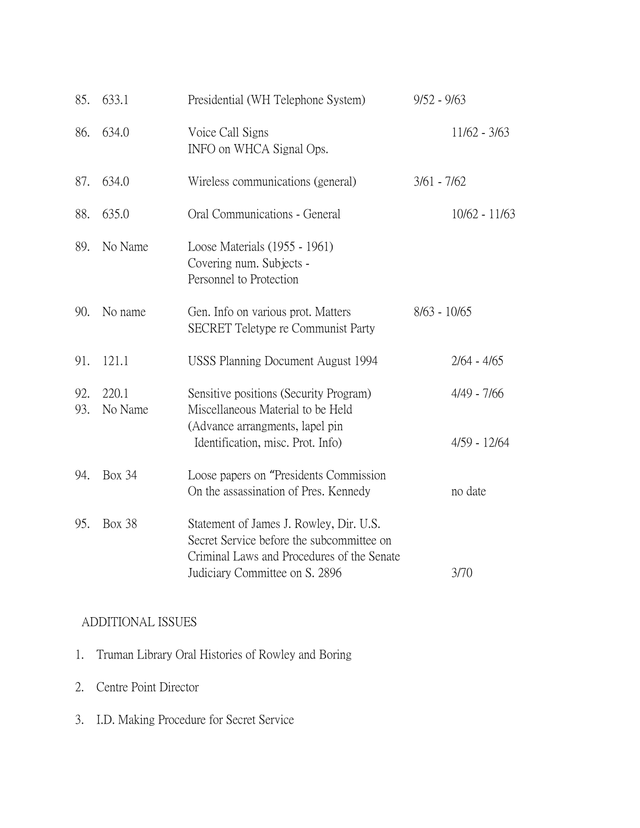| 85.        | 633.1            | Presidential (WH Telephone System)                                                                                                                                   | $9/52 - 9/63$                   |
|------------|------------------|----------------------------------------------------------------------------------------------------------------------------------------------------------------------|---------------------------------|
| 86.        | 634.0            | Voice Call Signs<br>INFO on WHCA Signal Ops.                                                                                                                         | $11/62 - 3/63$                  |
| 87.        | 634.0            | Wireless communications (general)                                                                                                                                    | $3/61 - 7/62$                   |
| 88.        | 635.0            | Oral Communications - General                                                                                                                                        | $10/62 - 11/63$                 |
| 89.        | No Name          | Loose Materials (1955 - 1961)<br>Covering num. Subjects -<br>Personnel to Protection                                                                                 |                                 |
| 90.        | No name          | Gen. Info on various prot. Matters<br><b>SECRET</b> Teletype re Communist Party                                                                                      | $8/63 - 10/65$                  |
| 91.        | 121.1            | USSS Planning Document August 1994                                                                                                                                   | $2/64 - 4/65$                   |
| 92.<br>93. | 220.1<br>No Name | Sensitive positions (Security Program)<br>Miscellaneous Material to be Held<br>(Advance arrangments, lapel pin<br>Identification, misc. Prot. Info)                  | $4/49 - 7/66$<br>$4/59 - 12/64$ |
| 94.        | <b>Box 34</b>    | Loose papers on "Presidents Commission"<br>On the assassination of Pres. Kennedy                                                                                     | no date                         |
| 95.        | <b>Box 38</b>    | Statement of James J. Rowley, Dir. U.S.<br>Secret Service before the subcommittee on<br>Criminal Laws and Procedures of the Senate<br>Judiciary Committee on S. 2896 | 3/70                            |

## ADDITIONAL ISSUES

- 1. Truman Library Oral Histories of Rowley and Boring
- 2. Centre Point Director
- 3. I.D. Making Procedure for Secret Service